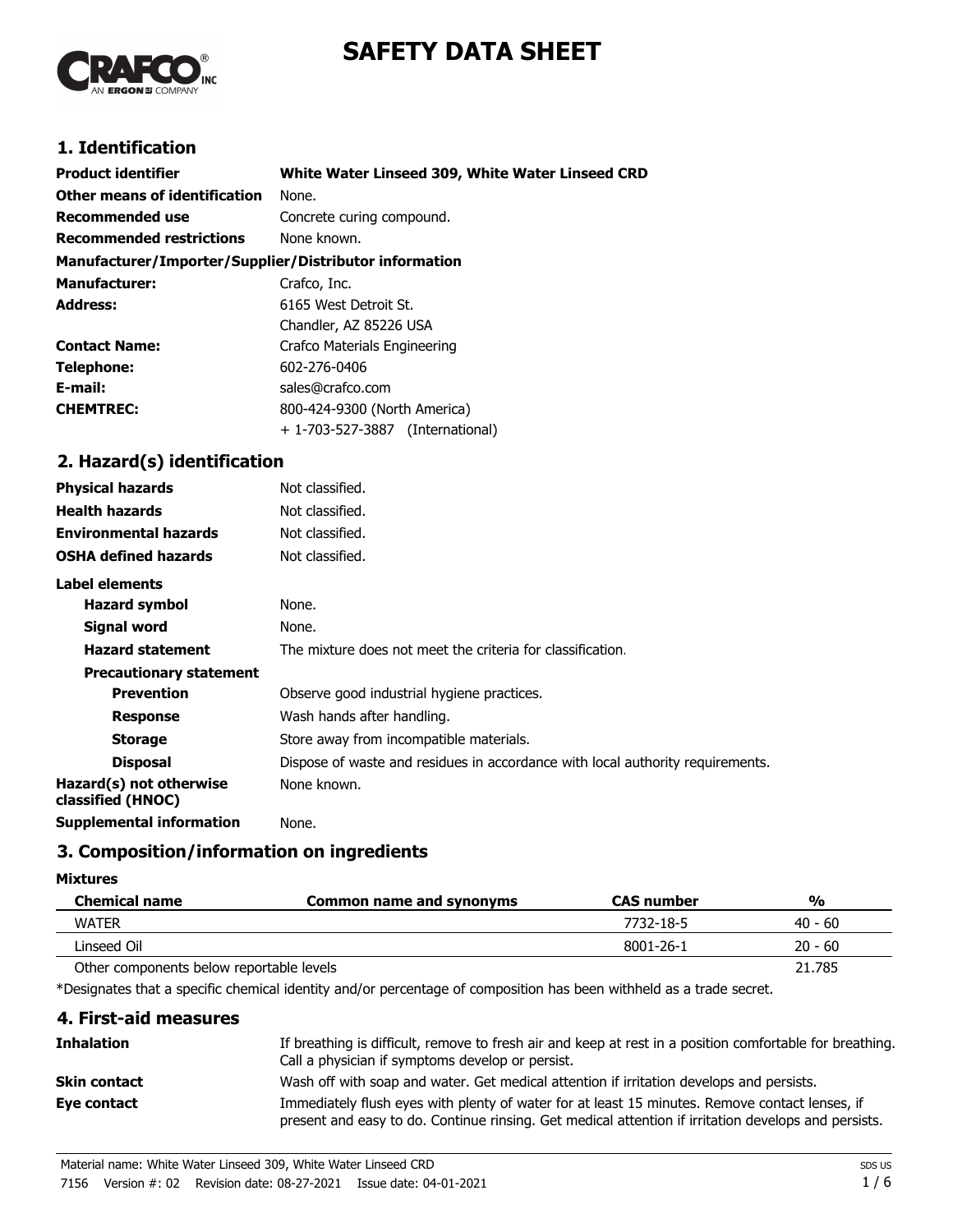# **SAFETY DATA SHEET**



# **1. Identification**

| <b>Product identifier</b>                              | White Water Linseed 309, White Water Linseed CRD |
|--------------------------------------------------------|--------------------------------------------------|
| Other means of identification                          | None.                                            |
| Recommended use                                        | Concrete curing compound.                        |
| <b>Recommended restrictions</b>                        | None known.                                      |
| Manufacturer/Importer/Supplier/Distributor information |                                                  |
| <b>Manufacturer:</b>                                   | Crafco, Inc.                                     |
| Address:                                               | 6165 West Detroit St.                            |
|                                                        | Chandler, AZ 85226 USA                           |
| <b>Contact Name:</b>                                   | Crafco Materials Engineering                     |
| Telephone:                                             | 602-276-0406                                     |
| E-mail:                                                | sales@crafco.com                                 |
| <b>CHEMTREC:</b>                                       | 800-424-9300 (North America)                     |
|                                                        | + 1-703-527-3887 (International)                 |
|                                                        |                                                  |

# **2. Hazard(s) identification**

| <b>Physical hazards</b>                      | Not classified.                                                                |
|----------------------------------------------|--------------------------------------------------------------------------------|
| <b>Health hazards</b>                        | Not classified.                                                                |
| <b>Environmental hazards</b>                 | Not classified.                                                                |
| <b>OSHA defined hazards</b>                  | Not classified.                                                                |
| Label elements                               |                                                                                |
| <b>Hazard symbol</b>                         | None.                                                                          |
| Signal word                                  | None.                                                                          |
| <b>Hazard statement</b>                      | The mixture does not meet the criteria for classification.                     |
| <b>Precautionary statement</b>               |                                                                                |
| <b>Prevention</b>                            | Observe good industrial hygiene practices.                                     |
| <b>Response</b>                              | Wash hands after handling.                                                     |
| <b>Storage</b>                               | Store away from incompatible materials.                                        |
| <b>Disposal</b>                              | Dispose of waste and residues in accordance with local authority requirements. |
| Hazard(s) not otherwise<br>classified (HNOC) | None known.                                                                    |
| <b>Supplemental information</b>              | None.                                                                          |

# **3. Composition/information on ingredients**

### **Mixtures**

| <b>Chemical name</b>                     | <b>Common name and synonyms</b> | <b>CAS number</b> | $\frac{1}{2}$ |
|------------------------------------------|---------------------------------|-------------------|---------------|
| <b>WATER</b>                             |                                 | 7732-18-5         | 40 - 60       |
| Linseed Oil                              |                                 | 8001-26-1         | $20 - 60$     |
| Other components below reportable levels |                                 |                   | 21.785        |

\*Designates that a specific chemical identity and/or percentage of composition has been withheld as a trade secret.

# **4. First-aid measures**

| Inhalation   | If breathing is difficult, remove to fresh air and keep at rest in a position comfortable for breathing.<br>Call a physician if symptoms develop or persist.                                           |
|--------------|--------------------------------------------------------------------------------------------------------------------------------------------------------------------------------------------------------|
| Skin contact | Wash off with soap and water. Get medical attention if irritation develops and persists.                                                                                                               |
| Eye contact  | Immediately flush eyes with plenty of water for at least 15 minutes. Remove contact lenses, if<br>present and easy to do. Continue rinsing. Get medical attention if irritation develops and persists. |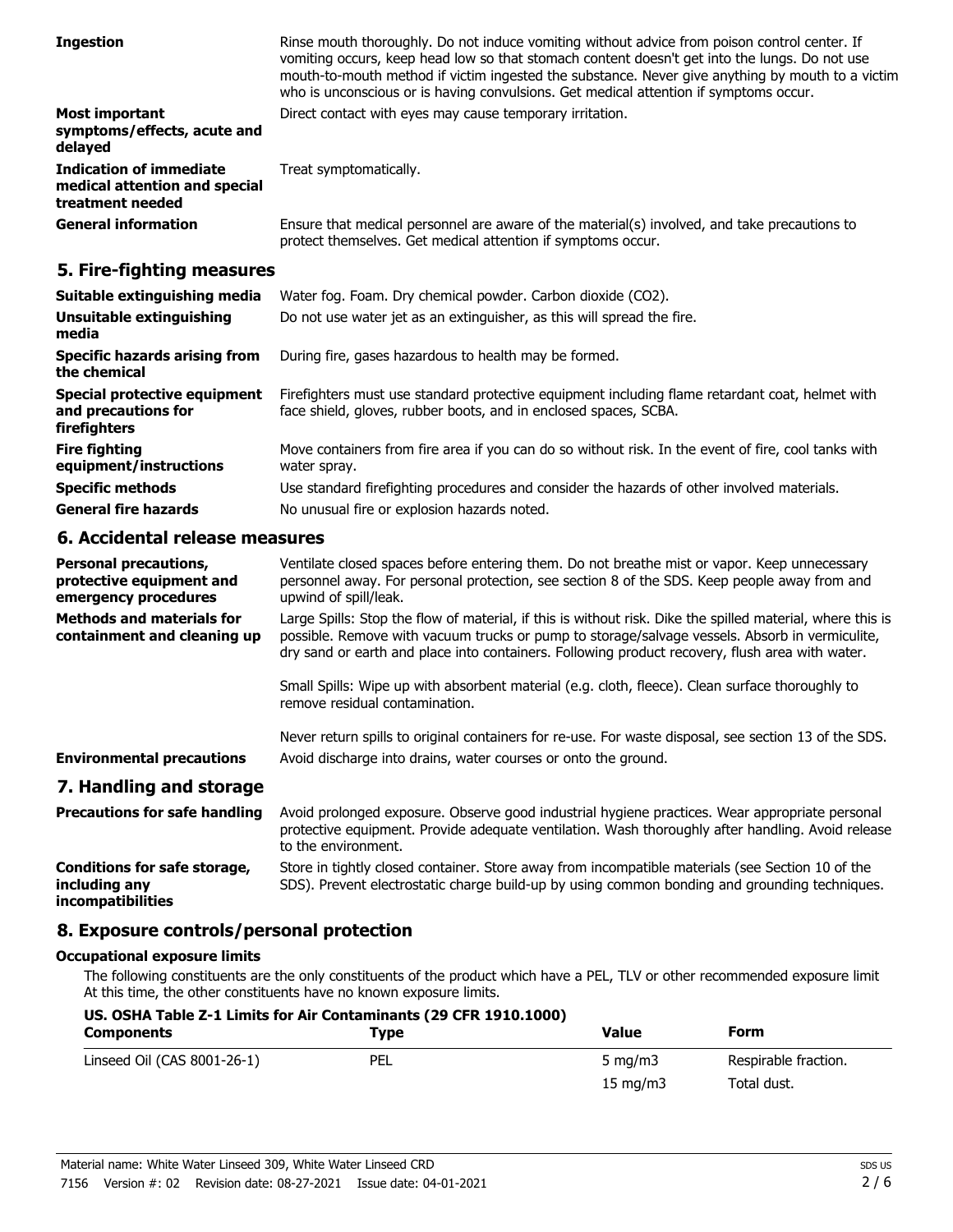| <b>Ingestion</b>                                                                    | Rinse mouth thoroughly. Do not induce vomiting without advice from poison control center. If<br>vomiting occurs, keep head low so that stomach content doesn't get into the lungs. Do not use<br>mouth-to-mouth method if victim ingested the substance. Never give anything by mouth to a victim<br>who is unconscious or is having convulsions. Get medical attention if symptoms occur. |
|-------------------------------------------------------------------------------------|--------------------------------------------------------------------------------------------------------------------------------------------------------------------------------------------------------------------------------------------------------------------------------------------------------------------------------------------------------------------------------------------|
| <b>Most important</b><br>symptoms/effects, acute and<br>delayed                     | Direct contact with eyes may cause temporary irritation.                                                                                                                                                                                                                                                                                                                                   |
| <b>Indication of immediate</b><br>medical attention and special<br>treatment needed | Treat symptomatically.                                                                                                                                                                                                                                                                                                                                                                     |
| <b>General information</b>                                                          | Ensure that medical personnel are aware of the material(s) involved, and take precautions to<br>protect themselves. Get medical attention if symptoms occur.                                                                                                                                                                                                                               |

# **5. Fire-fighting measures**

| Suitable extinguishing media                                        | Water fog. Foam. Dry chemical powder. Carbon dioxide (CO2).                                                                                                         |
|---------------------------------------------------------------------|---------------------------------------------------------------------------------------------------------------------------------------------------------------------|
| Unsuitable extinguishing<br>media                                   | Do not use water jet as an extinguisher, as this will spread the fire.                                                                                              |
| <b>Specific hazards arising from</b><br>the chemical                | During fire, gases hazardous to health may be formed.                                                                                                               |
| Special protective equipment<br>and precautions for<br>firefighters | Firefighters must use standard protective equipment including flame retardant coat, helmet with<br>face shield, gloves, rubber boots, and in enclosed spaces, SCBA. |
| <b>Fire fighting</b><br>equipment/instructions                      | Move containers from fire area if you can do so without risk. In the event of fire, cool tanks with<br>water spray.                                                 |
| <b>Specific methods</b>                                             | Use standard firefighting procedures and consider the hazards of other involved materials.                                                                          |
| <b>General fire hazards</b>                                         | No unusual fire or explosion hazards noted.                                                                                                                         |

# **6. Accidental release measures**

| <b>Personal precautions,</b><br>protective equipment and<br>emergency procedures | Ventilate closed spaces before entering them. Do not breathe mist or vapor. Keep unnecessary<br>personnel away. For personal protection, see section 8 of the SDS. Keep people away from and<br>upwind of spill/leak.                                                                                           |
|----------------------------------------------------------------------------------|-----------------------------------------------------------------------------------------------------------------------------------------------------------------------------------------------------------------------------------------------------------------------------------------------------------------|
| <b>Methods and materials for</b><br>containment and cleaning up                  | Large Spills: Stop the flow of material, if this is without risk. Dike the spilled material, where this is<br>possible. Remove with vacuum trucks or pump to storage/salvage vessels. Absorb in vermiculite,<br>dry sand or earth and place into containers. Following product recovery, flush area with water. |
|                                                                                  | Small Spills: Wipe up with absorbent material (e.g. cloth, fleece). Clean surface thoroughly to<br>remove residual contamination.                                                                                                                                                                               |
| <b>Environmental precautions</b>                                                 | Never return spills to original containers for re-use. For waste disposal, see section 13 of the SDS.<br>Avoid discharge into drains, water courses or onto the ground.                                                                                                                                         |
| 7. Handling and storage                                                          |                                                                                                                                                                                                                                                                                                                 |
| <b>Precautions for safe handling</b>                                             | Avoid prolonged exposure. Observe good industrial hygiene practices. Wear appropriate personal<br>protective equipment. Provide adequate ventilation. Wash thoroughly after handling. Avoid release                                                                                                             |

to the environment. Store in tightly closed container. Store away from incompatible materials (see Section 10 of the SDS). Prevent electrostatic charge build-up by using common bonding and grounding techniques. **Conditions for safe storage, including any incompatibilities**

# **8. Exposure controls/personal protection**

### **Occupational exposure limits**

The following constituents are the only constituents of the product which have a PEL, TLV or other recommended exposure limit At this time, the other constituents have no known exposure limits.

| US. OSHA Table Z-1 Limits for Air Contaminants (29 CFR 1910.1000) |      |                   |                      |
|-------------------------------------------------------------------|------|-------------------|----------------------|
| <b>Components</b>                                                 | Type | Value             | Form                 |
| Linseed Oil (CAS 8001-26-1)                                       | PEL  | 5 mg/m $3$        | Respirable fraction. |
|                                                                   |      | $15 \text{ mg/m}$ | Total dust.          |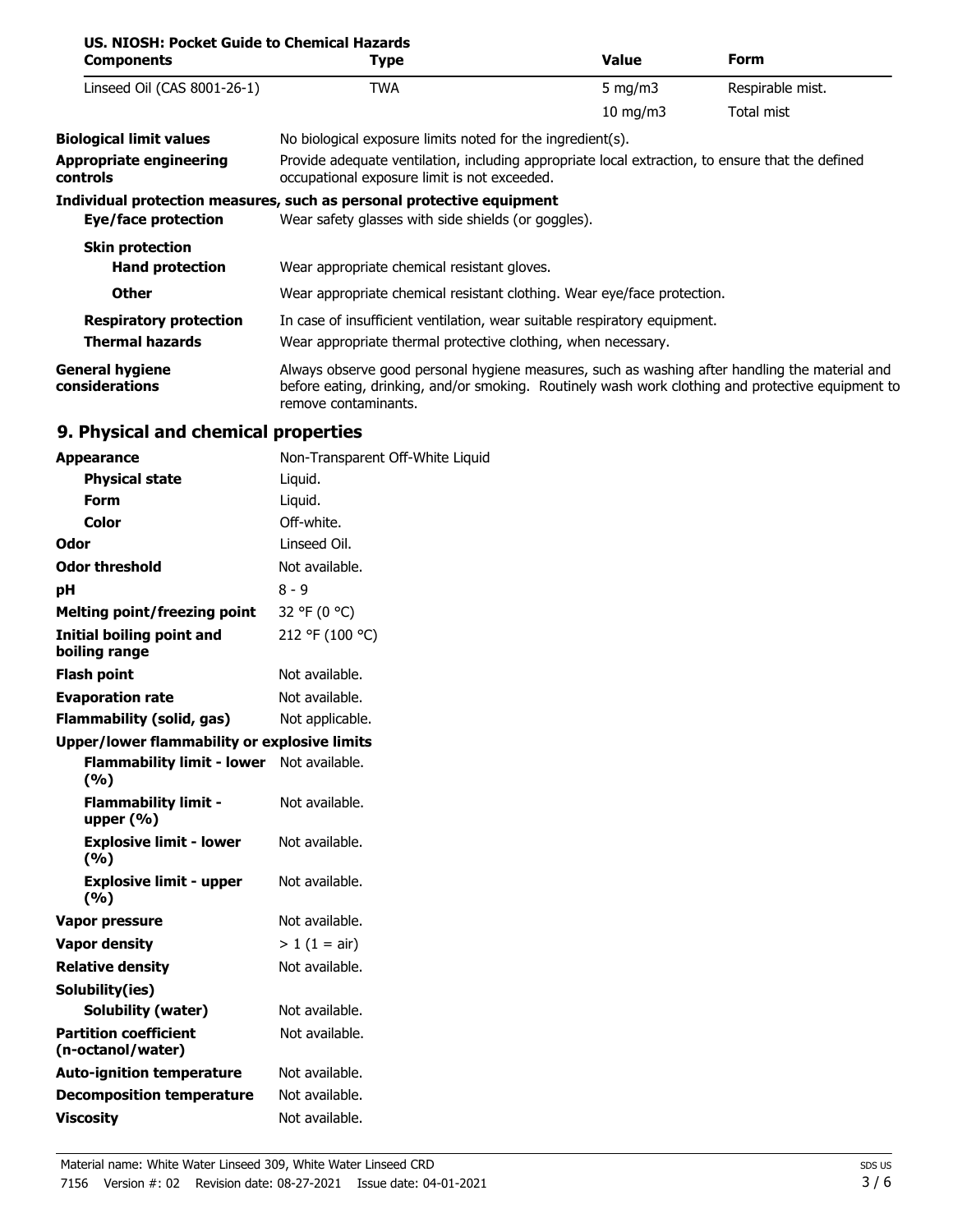| US. NIOSH: Pocket Guide to Chemical Hazards<br><b>Components</b> | Type                                                                                                                                                                                                                        | <b>Value</b>                                                                                                                                     | <b>Form</b>      |
|------------------------------------------------------------------|-----------------------------------------------------------------------------------------------------------------------------------------------------------------------------------------------------------------------------|--------------------------------------------------------------------------------------------------------------------------------------------------|------------------|
| Linseed Oil (CAS 8001-26-1)                                      | TWA                                                                                                                                                                                                                         | 5 mg/m $3$                                                                                                                                       | Respirable mist. |
|                                                                  |                                                                                                                                                                                                                             | $10 \text{ mg/m}$                                                                                                                                | Total mist       |
| <b>Biological limit values</b>                                   | No biological exposure limits noted for the ingredient(s).                                                                                                                                                                  |                                                                                                                                                  |                  |
| <b>Appropriate engineering</b><br><b>controls</b>                |                                                                                                                                                                                                                             | Provide adequate ventilation, including appropriate local extraction, to ensure that the defined<br>occupational exposure limit is not exceeded. |                  |
|                                                                  | Individual protection measures, such as personal protective equipment                                                                                                                                                       |                                                                                                                                                  |                  |
| Eye/face protection                                              | Wear safety glasses with side shields (or goggles).                                                                                                                                                                         |                                                                                                                                                  |                  |
| <b>Skin protection</b>                                           |                                                                                                                                                                                                                             |                                                                                                                                                  |                  |
| <b>Hand protection</b>                                           | Wear appropriate chemical resistant gloves.                                                                                                                                                                                 |                                                                                                                                                  |                  |
| <b>Other</b>                                                     | Wear appropriate chemical resistant clothing. Wear eye/face protection.                                                                                                                                                     |                                                                                                                                                  |                  |
| <b>Respiratory protection</b>                                    | In case of insufficient ventilation, wear suitable respiratory equipment.                                                                                                                                                   |                                                                                                                                                  |                  |
| <b>Thermal hazards</b>                                           | Wear appropriate thermal protective clothing, when necessary.                                                                                                                                                               |                                                                                                                                                  |                  |
| <b>General hygiene</b><br>considerations                         | Always observe good personal hygiene measures, such as washing after handling the material and<br>before eating, drinking, and/or smoking. Routinely wash work clothing and protective equipment to<br>remove contaminants. |                                                                                                                                                  |                  |

# **9. Physical and chemical properties**

| <b>Appearance</b>                                 | Non-Transparent Off-White Liquid |
|---------------------------------------------------|----------------------------------|
| <b>Physical state</b>                             | Liquid.                          |
| Form                                              | Liquid.                          |
| Color                                             | Off-white.                       |
| Odor                                              | Linseed Oil.                     |
| Odor threshold                                    | Not available.                   |
| рH                                                | $8 - 9$                          |
| <b>Melting point/freezing point</b>               | 32 °F (0 °C)                     |
| Initial boiling point and<br>boiling range        | 212 °F (100 °C)                  |
| <b>Flash point</b>                                | Not available.                   |
| <b>Evaporation rate</b>                           | Not available.                   |
| <b>Flammability (solid, gas)</b>                  | Not applicable.                  |
| Upper/lower flammability or explosive limits      |                                  |
| <b>Flammability limit - lower</b><br>(%)          | Not available.                   |
| <b>Flammability limit -</b><br>upper $(% )$       | Not available.                   |
| <b>Explosive limit - lower</b><br>(9/6)           | Not available.                   |
| <b>Explosive limit - upper</b><br>(%)             | Not available.                   |
| <b>Vapor pressure</b>                             | Not available.                   |
| <b>Vapor density</b>                              | $> 1$ (1 = air)                  |
| <b>Relative density</b>                           | Not available.                   |
| Solubility(ies)                                   |                                  |
| <b>Solubility (water)</b>                         | Not available.                   |
| <b>Partition coefficient</b><br>(n-octanol/water) | Not available.                   |
| <b>Auto-ignition temperature</b>                  | Not available.                   |
| <b>Decomposition temperature</b>                  | Not available.                   |
| <b>Viscosity</b>                                  | Not available.                   |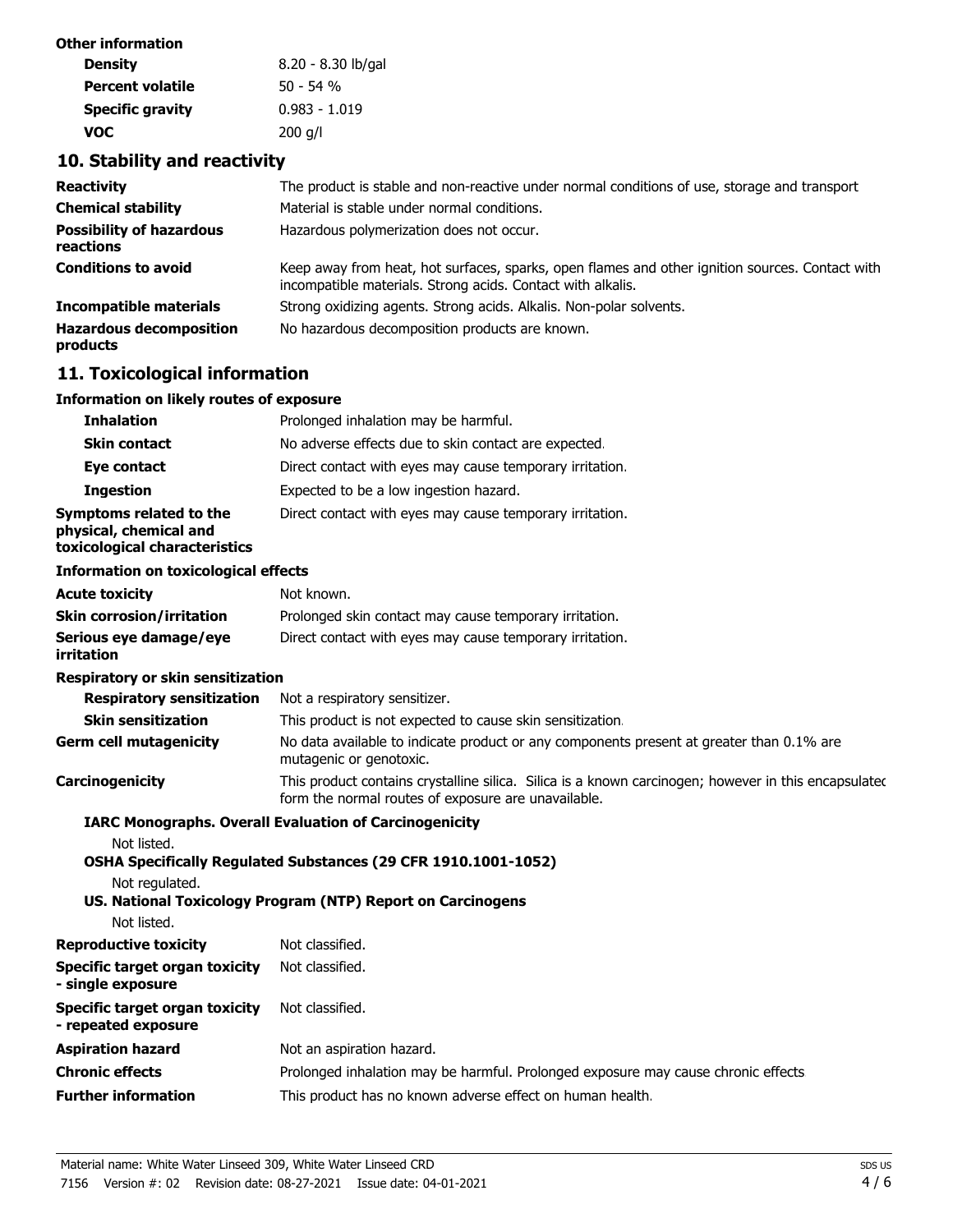| Other information       |                    |
|-------------------------|--------------------|
| <b>Density</b>          | 8.20 - 8.30 lb/gal |
| <b>Percent volatile</b> | $50 - 54$ %        |
| <b>Specific gravity</b> | $0.983 - 1.019$    |
| voc                     | $200$ g/l          |

# **10. Stability and reactivity**

| <b>Reactivity</b>                            | The product is stable and non-reactive under normal conditions of use, storage and transport                                                                   |
|----------------------------------------------|----------------------------------------------------------------------------------------------------------------------------------------------------------------|
| <b>Chemical stability</b>                    | Material is stable under normal conditions.                                                                                                                    |
| <b>Possibility of hazardous</b><br>reactions | Hazardous polymerization does not occur.                                                                                                                       |
| <b>Conditions to avoid</b>                   | Keep away from heat, hot surfaces, sparks, open flames and other ignition sources. Contact with<br>incompatible materials. Strong acids. Contact with alkalis. |
| <b>Incompatible materials</b>                | Strong oxidizing agents. Strong acids. Alkalis. Non-polar solvents.                                                                                            |
| <b>Hazardous decomposition</b><br>products   | No hazardous decomposition products are known.                                                                                                                 |

# **11. Toxicological information**

### **Information on likely routes of exposure**

| <b>Inhalation</b>                                                                  | Prolonged inhalation may be harmful.                     |
|------------------------------------------------------------------------------------|----------------------------------------------------------|
| <b>Skin contact</b>                                                                | No adverse effects due to skin contact are expected.     |
| Eye contact                                                                        | Direct contact with eyes may cause temporary irritation. |
| <b>Ingestion</b>                                                                   | Expected to be a low ingestion hazard.                   |
| Symptoms related to the<br>physical, chemical and<br>toxicological characteristics | Direct contact with eyes may cause temporary irritation. |

### **Information on toxicological effects**

| <b>Acute toxicity</b>                | Not known.                                               |
|--------------------------------------|----------------------------------------------------------|
| <b>Skin corrosion/irritation</b>     | Prolonged skin contact may cause temporary irritation.   |
| Serious eve damage/eve<br>irritation | Direct contact with eyes may cause temporary irritation. |

### **Respiratory or skin sensitization**

| <b>Respiratory sensitization</b> | Not a respiratory sensitizer.                                                                                                                               |
|----------------------------------|-------------------------------------------------------------------------------------------------------------------------------------------------------------|
| <b>Skin sensitization</b>        | This product is not expected to cause skin sensitization.                                                                                                   |
| <b>Germ cell mutagenicity</b>    | No data available to indicate product or any components present at greater than 0.1% are<br>mutagenic or genotoxic.                                         |
| Carcinogenicity                  | This product contains crystalline silica. Silica is a known carcinogen; however in this encapsulated<br>form the normal routes of exposure are unavailable. |

### **IARC Monographs. Overall Evaluation of Carcinogenicity**

Not listed.

**OSHA Specifically Regulated Substances (29 CFR 1910.1001-1052)**

Not regulated.

**US. National Toxicology Program (NTP) Report on Carcinogens** Not listed.

| IVUL IISLEU.                 |                 |
|------------------------------|-----------------|
| <b>Reproductive toxicity</b> | Not classified. |

| Specific target organ toxicity<br>- single exposure   | Not classified.                                                                   |
|-------------------------------------------------------|-----------------------------------------------------------------------------------|
| Specific target organ toxicity<br>- repeated exposure | Not classified.                                                                   |
| Aspiration hazard                                     | Not an aspiration hazard.                                                         |
| Chronic effects                                       | Prolonged inhalation may be harmful. Prolonged exposure may cause chronic effects |
| <b>Further information</b>                            | This product has no known adverse effect on human health.                         |
|                                                       |                                                                                   |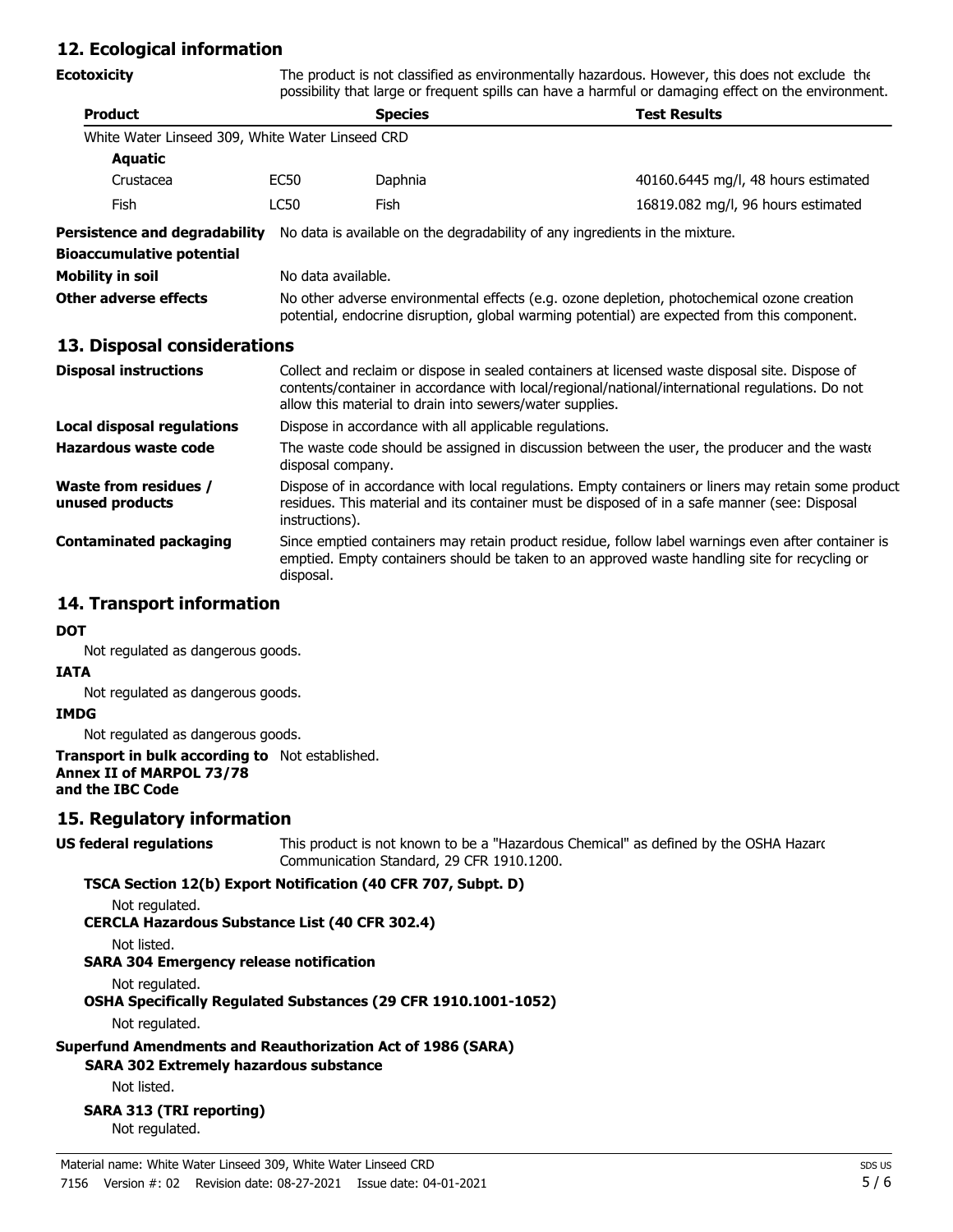# **12. Ecological information**

| Ecotoxicity                                      | The product is not classified as environmentally hazardous. However, this does not exclude the<br>possibility that large or frequent spills can have a harmful or damaging effect on the environment.                                                          |                                                                                                                   |                                                                                                                                                                                                     |
|--------------------------------------------------|----------------------------------------------------------------------------------------------------------------------------------------------------------------------------------------------------------------------------------------------------------------|-------------------------------------------------------------------------------------------------------------------|-----------------------------------------------------------------------------------------------------------------------------------------------------------------------------------------------------|
| <b>Product</b>                                   |                                                                                                                                                                                                                                                                | <b>Species</b>                                                                                                    | <b>Test Results</b>                                                                                                                                                                                 |
| White Water Linseed 309, White Water Linseed CRD |                                                                                                                                                                                                                                                                |                                                                                                                   |                                                                                                                                                                                                     |
| <b>Aquatic</b>                                   |                                                                                                                                                                                                                                                                |                                                                                                                   |                                                                                                                                                                                                     |
| Crustacea                                        | <b>EC50</b>                                                                                                                                                                                                                                                    | Daphnia                                                                                                           | 40160.6445 mg/l, 48 hours estimated                                                                                                                                                                 |
| Fish                                             | <b>LC50</b>                                                                                                                                                                                                                                                    | Fish                                                                                                              | 16819.082 mg/l, 96 hours estimated                                                                                                                                                                  |
| Persistence and degradability                    |                                                                                                                                                                                                                                                                |                                                                                                                   | No data is available on the degradability of any ingredients in the mixture.                                                                                                                        |
| <b>Bioaccumulative potential</b>                 |                                                                                                                                                                                                                                                                |                                                                                                                   |                                                                                                                                                                                                     |
| Mobility in soil                                 | No data available.                                                                                                                                                                                                                                             |                                                                                                                   |                                                                                                                                                                                                     |
| <b>Other adverse effects</b>                     | No other adverse environmental effects (e.g. ozone depletion, photochemical ozone creation<br>potential, endocrine disruption, global warming potential) are expected from this component.                                                                     |                                                                                                                   |                                                                                                                                                                                                     |
| 13. Disposal considerations                      |                                                                                                                                                                                                                                                                |                                                                                                                   |                                                                                                                                                                                                     |
| <b>Disposal instructions</b>                     | Collect and reclaim or dispose in sealed containers at licensed waste disposal site. Dispose of<br>contents/container in accordance with local/regional/national/international regulations. Do not<br>allow this material to drain into sewers/water supplies. |                                                                                                                   |                                                                                                                                                                                                     |
| Local disposal regulations                       | Dispose in accordance with all applicable regulations.                                                                                                                                                                                                         |                                                                                                                   |                                                                                                                                                                                                     |
| Hazardous waste code                             |                                                                                                                                                                                                                                                                | The waste code should be assigned in discussion between the user, the producer and the waste<br>disposal company. |                                                                                                                                                                                                     |
| Waste from residues /<br>unused products         | Dispose of in accordance with local regulations. Empty containers or liners may retain some product<br>residues. This material and its container must be disposed of in a safe manner (see: Disposal<br>instructions).                                         |                                                                                                                   |                                                                                                                                                                                                     |
| <b>Contaminated packaging</b>                    | disposal.                                                                                                                                                                                                                                                      |                                                                                                                   | Since emptied containers may retain product residue, follow label warnings even after container is<br>emptied. Empty containers should be taken to an approved waste handling site for recycling or |
|                                                  |                                                                                                                                                                                                                                                                |                                                                                                                   |                                                                                                                                                                                                     |

# **14. Transport information**

#### **DOT**

Not regulated as dangerous goods.

### **IATA**

Not regulated as dangerous goods.

#### **IMDG**

Not regulated as dangerous goods.

#### **Transport in bulk according to** Not established. **Annex II of MARPOL 73/78 and the IBC Code**

### **15. Regulatory information**

### **US federal regulations**

This product is not known to be a "Hazardous Chemical" as defined by the OSHA Hazard Communication Standard, 29 CFR 1910.1200.

### **TSCA Section 12(b) Export Notification (40 CFR 707, Subpt. D)**

Not regulated.

**CERCLA Hazardous Substance List (40 CFR 302.4)**

Not listed.

# **SARA 304 Emergency release notification**

Not regulated.

**OSHA Specifically Regulated Substances (29 CFR 1910.1001-1052)**

Not regulated.

# **Superfund Amendments and Reauthorization Act of 1986 (SARA)**

**SARA 302 Extremely hazardous substance**

Not listed.

#### **SARA 313 (TRI reporting)** Not regulated.